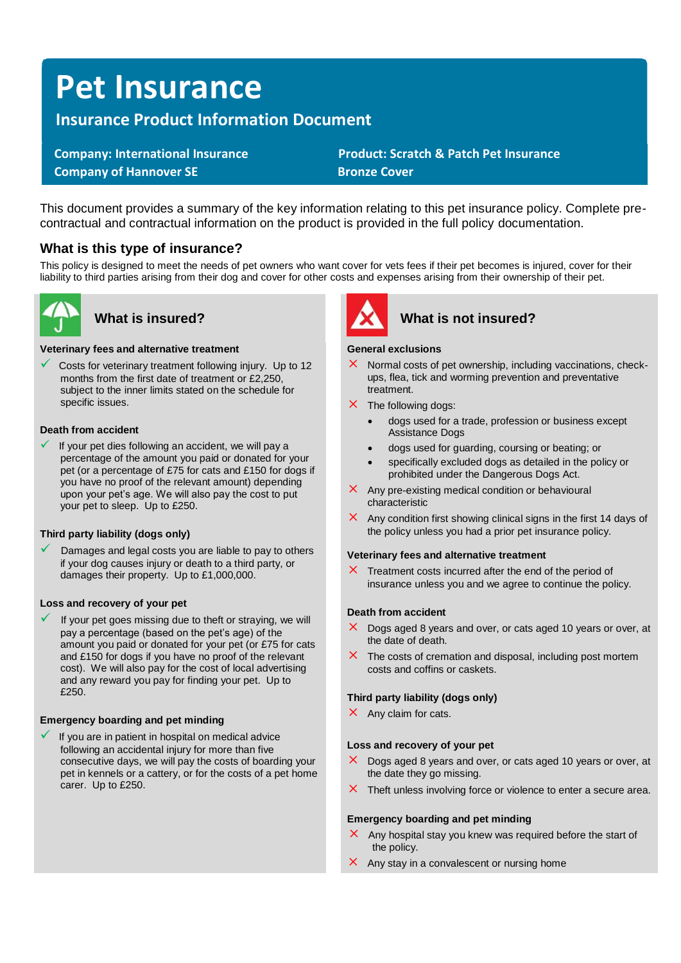# **Pet Insurance**

## **Insurance Product Information Document**

**Company of Hannover SE Bronze Cover** 

 **Company: International Insurance Product: Scratch & Patch Pet Insurance** 

This document provides a summary of the key information relating to this pet insurance policy. Complete precontractual and contractual information on the product is provided in the full policy documentation.

## **What is this type of insurance?**

This policy is designed to meet the needs of pet owners who want cover for vets fees if their pet becomes is injured, cover for their liability to third parties arising from their dog and cover for other costs and expenses arising from their ownership of their pet.



#### **Veterinary fees and alternative treatment**

 $\checkmark$  Costs for veterinary treatment following injury. Up to 12 months from the first date of treatment or £2,250, subject to the inner limits stated on the schedule for specific issues.

### **Death from accident**

If your pet dies following an accident, we will pay a percentage of the amount you paid or donated for your pet (or a percentage of £75 for cats and £150 for dogs if you have no proof of the relevant amount) depending upon your pet's age. We will also pay the cost to put your pet to sleep. Up to £250.

### **Third party liability (dogs only)**

Damages and legal costs you are liable to pay to others if your dog causes injury or death to a third party, or damages their property. Up to £1,000,000.

### **Loss and recovery of your pet**

If your pet goes missing due to theft or straying, we will pay a percentage (based on the pet's age) of the amount you paid or donated for your pet (or £75 for cats and £150 for dogs if you have no proof of the relevant cost). We will also pay for the cost of local advertising and any reward you pay for finding your pet. Up to £250.

### **Emergency boarding and pet minding**

 $\checkmark$  If you are in patient in hospital on medical advice following an accidental injury for more than five consecutive days, we will pay the costs of boarding your pet in kennels or a cattery, or for the costs of a pet home carer. Up to £250.



## **What is insured? What is not insured?**

#### **General exclusions**

- $\times$  Normal costs of pet ownership, including vaccinations, checkups, flea, tick and worming prevention and preventative treatment.
- $\times$  The following dogs:
	- dogs used for a trade, profession or business except Assistance Dogs
	- dogs used for guarding, coursing or beating; or
	- specifically excluded dogs as detailed in the policy or prohibited under the Dangerous Dogs Act.
- $\times$  Any pre-existing medical condition or behavioural characteristic
- $\times$  Any condition first showing clinical signs in the first 14 days of the policy unless you had a prior pet insurance policy.

#### **Veterinary fees and alternative treatment**

 $\times$  Treatment costs incurred after the end of the period of insurance unless you and we agree to continue the policy.

#### **Death from accident**

- $\times$  Dogs aged 8 years and over, or cats aged 10 years or over, at the date of death.
- $\times$  The costs of cremation and disposal, including post mortem costs and coffins or caskets.

### **Third party liability (dogs only)**

 $\times$  Any claim for cats.

#### **Loss and recovery of your pet**

- $\times$  Dogs aged 8 years and over, or cats aged 10 years or over, at the date they go missing.
- $\times$  Theft unless involving force or violence to enter a secure area.

#### **Emergency boarding and pet minding**

- $\times$  Any hospital stay you knew was required before the start of the policy.
- $\times$  Any stay in a convalescent or nursing home